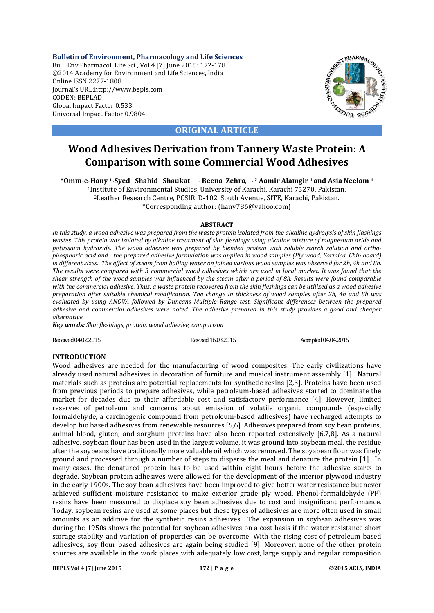**Bulletin of Environment, Pharmacology and Life Sciences** Bull. Env.Pharmacol. Life Sci., Vol 4 [7] June 2015: 172-178 ©2014 Academy for Environment and Life Sciences, India Online ISSN 2277-1808 Journal's URL:http://www.bepls.com CODEN: BEPLAD Global Impact Factor 0.533 Universal Impact Factor 0.9804



**ORIGINAL ARTICLE**

# **Wood Adhesives Derivation from Tannery Waste Protein: A Comparison with some Commercial Wood Adhesives**

**\*Omm-e-Hany 1 , Syed Shahid Shaukat 1 , Beena Zehra**, **1 , 2 Aamir Alamgir 1 and Asia Neelam 1**

1Institute of Environmental Studies, University of Karachi, Karachi 75270, Pakistan. 2Leather Research Centre, PCSIR, D-102, South Avenue, SITE, Karachi, Pakistan. \*Corresponding author: (hany786@yahoo.com)

# **ABSTRACT**

*In this study, a wood adhesive was prepared from the waste protein isolated from the alkaline hydrolysis of skin flashings wastes. This protein was isolated by alkaline treatment of skin fleshings using alkaline mixture of magnesium oxide and potassium hydroxide. The wood adhesive was prepared by blended protein with soluble starch solution and orthophosphoric acid and the prepared adhesive formulation was applied in wood samples (Ply wood, Formica, Chip board) in different sizes. The effect of steam from boiling water on joined various wood samples was observed for 2h, 4h and 8h. The results were compared with 3 commercial wood adhesives which are used in local market. It was found that the shear strength of the wood samples was influenced by the steam after a period of 8h. Results were found comparable with the commercial adhesive. Thus, a waste protein recovered from the skin fleshings can be utilized as a wood adhesive preparation after suitable chemical modification. The change in thickness of wood samples after 2h, 4h and 8h was evaluated by using ANOVA followed by Duncans Multiple Range test. Significant differences between the prepared adhesive and commercial adhesives were noted. The adhesive prepared in this study provides a good and cheaper alternative.* 

*Key words: Skin fleshings, protein, wood adhesive, comparison*

Received 04.02.2015 **Revised 16.03.2015** Revised 16.03.2015 **Accepted 04.04.2015** 

# **INTRODUCTION**

Wood adhesives are needed for the manufacturing of wood composites. The early civilizations have already used natural adhesives in decoration of furniture and musical instrument assembly [1]. Natural materials such as proteins are potential replacements for synthetic resins [2,3]. Proteins have been used from previous periods to prepare adhesives, while petroleum-based adhesives started to dominate the market for decades due to their affordable cost and satisfactory performance [4]. However, limited reserves of petroleum and concerns about emission of volatile organic compounds (especially formaldehyde, a carcinogenic compound from petroleum-based adhesives) have recharged attempts to develop bio based adhesives from renewable resources [5,6]. Adhesives prepared from soy bean proteins, animal blood, gluten, and sorghum proteins have also been reported extensively [6,7,8]. As a natural adhesive, soybean flour has been used in the largest volume, it was ground into soybean meal, the residue after the soybeans have traditionally more valuable oil which was removed. The soyabean flour was finely ground and processed through a number of steps to disperse the meal and denature the protein [1]. In many cases, the denatured protein has to be used within eight hours before the adhesive starts to degrade. Soybean protein adhesives were allowed for the development of the interior plywood industry in the early 1900s. The soy bean adhesives have been improved to give better water resistance but never achieved sufficient moisture resistance to make exterior grade ply wood. Phenol-formaldehyde (PF) resins have been measured to displace soy bean adhesives due to cost and insignificant performance. Today, soybean resins are used at some places but these types of adhesives are more often used in small amounts as an additive for the synthetic resins adhesives. The expansion in soybean adhesives was during the 1950s shows the potential for soybean adhesives on a cost basis if the water resistance short storage stability and variation of properties can be overcome. With the rising cost of petroleum based adhesives, soy flour based adhesives are again being studied [9]. Moreover, none of the other protein sources are available in the work places with adequately low cost, large supply and regular composition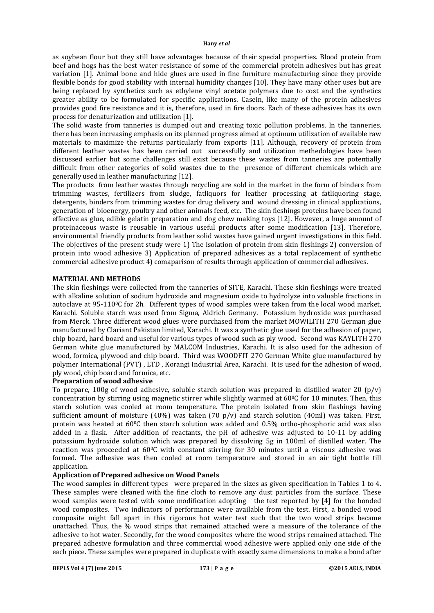as soybean flour but they still have advantages because of their special properties. Blood protein from beef and hogs has the best water resistance of some of the commercial protein adhesives but has great variation [1]. Animal bone and hide glues are used in fine furniture manufacturing since they provide flexible bonds for good stability with internal humidity changes [10]. They have many other uses but are being replaced by synthetics such as ethylene vinyl acetate polymers due to cost and the synthetics greater ability to be formulated for specific applications. Casein, like many of the protein adhesives provides good fire resistance and it is, therefore, used in fire doors. Each of these adhesives has its own process for denaturization and utilization [1].

The solid waste from tanneries is dumped out and creating toxic pollution problems. In the tanneries, there has been increasing emphasis on its planned progress aimed at optimum utilization of available raw materials to maximize the returns particularly from exports [11]. Although, recovery of protein from different leather wastes has been carried out successfully and utilization methedologies have been discussed earlier but some challenges still exist because these wastes from tanneries are potentially difficult from other categories of solid wastes due to the presence of different chemicals which are generally used in leather manufacturing [12].

The products from leather wastes through recycling are sold in the market in the form of binders from trimming wastes, fertilizers from sludge, fatliquors for leather processing at fatliquoring stage, detergents, binders from trimming wastes for drug delivery and wound dressing in clinical applications, generation of bioenergy, poultry and other animals feed, etc. The skin fleshings proteins have been found effective as glue, edible gelatin preparation and dog chew making toys [12]. However, a huge amount of proteinaceous waste is reusable in various useful products after some modification [13]. Therefore, environmental friendly products from leather solid wastes have gained urgent investigations in this field. The objectives of the present study were 1) The isolation of protein from skin fleshings 2) conversion of protein into wood adhesive 3) Application of prepared adhesives as a total replacement of synthetic commercial adhesive product 4) comaparison of results through application of commercial adhesives.

# **MATERIAL AND METHODS**

The skin fleshings were collected from the tanneries of SITE, Karachi. These skin fleshings were treated with alkaline solution of sodium hydroxide and magnesium oxide to hydrolyze into valuable fractions in autoclave at  $95{\text -}110\textdegree$ C for 2h. Different types of wood samples were taken from the local wood market, Karachi. Soluble starch was used from Sigma, Aldrich Germany. Potassium hydroxide was purchased from Merck. Three different wood glues were purchased from the market MOWILITH 270 German glue manufactured by Clariant Pakistan limited, Karachi. It was a synthetic glue used for the adhesion of paper, chip board, hard board and useful for various types of wood such as ply wood. Second was KAYLITH 270 German white glue manufactured by MALCOM Industries, Karachi. It is also used for the adhesion of wood, formica, plywood and chip board. Third was WOODFIT 270 German White glue manufactured by polymer International (PVT) , LTD , Korangi Industrial Area, Karachi. It is used for the adhesion of wood, ply wood, chip board and formica, etc.

# **Preparation of wood adhesive**

To prepare, 100g of wood adhesive, soluble starch solution was prepared in distilled water 20  $(p/v)$ concentration by stirring using magnetic stirrer while slightly warmed at  $60\degree$  for 10 minutes. Then, this starch solution was cooled at room temperature. The protein isolated from skin flashings having sufficient amount of moisture (40%) was taken (70 p/v) and starch solution (40ml) was taken. First, protein was heated at 600C then starch solution was added and 0.5% ortho-phosphoric acid was also added in a flask. After addition of reactants, the pH of adhesive was adjusted to 10-11 by adding potassium hydroxide solution which was prepared by dissolving 5g in 100ml of distilled water. The reaction was proceeded at  $60^{\circ}$ C with constant stirring for 30 minutes until a viscous adhesive was formed. The adhesive was then cooled at room temperature and stored in an air tight bottle till application.

# **Application of Prepared adhesive on Wood Panels**

The wood samples in different types were prepared in the sizes as given specification in Tables 1 to 4. These samples were cleaned with the fine cloth to remove any dust particles from the surface. These wood samples were tested with some modification adopting the test reported by [4] for the bonded wood composites. Two indicators of performance were available from the test. First, a bonded wood composite might fall apart in this rigorous hot water test such that the two wood strips became unattached. Thus, the % wood strips that remained attached were a measure of the tolerance of the adhesive to hot water. Secondly, for the wood composites where the wood strips remained attached. The prepared adhesive formulation and three commercial wood adhesive were applied only one side of the each piece. These samples were prepared in duplicate with exactly same dimensions to make a bond after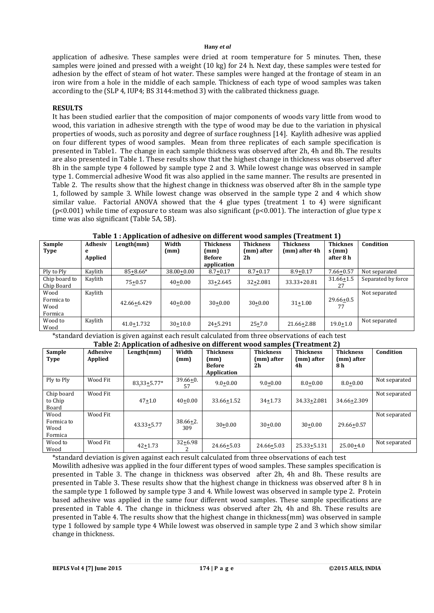application of adhesive. These samples were dried at room temperature for 5 minutes. Then, these samples were joined and pressed with a weight (10 kg) for 24 h. Next day, these samples were tested for adhesion by the effect of steam of hot water. These samples were hanged at the frontage of steam in an iron wire from a hole in the middle of each sample. Thickness of each type of wood samples was taken according to the (SLP 4, IUP4; BS 3144:method 3) with the calibrated thickness guage.

# **RESULTS**

It has been studied earlier that the composition of major components of woods vary little from wood to wood, this variation in adhesive strength with the type of wood may be due to the variation in physical properties of woods, such as porosity and degree of surface roughness [14]. Kaylith adhesive was applied on four different types of wood samples. Mean from three replicates of each sample specification is presented in Table1. The change in each sample thickness was observed after 2h, 4h and 8h. The results are also presented in Table 1. These results show that the highest change in thickness was observed after 8h in the sample type 4 followed by sample type 2 and 3. While lowest change was observed in sample type 1. Commercial adhesive Wood fit was also applied in the same manner. The results are presented in Table 2. The results show that the highest change in thickness was observed after 8h in the sample type 1, followed by sample 3. While lowest change was observed in the sample type 2 and 4 which show similar value. Factorial ANOVA showed that the 4 glue types (treatment  $1$  to  $4$ ) were significant (p<0.001) while time of exposure to steam was also significant (p<0.001). The interaction of glue type x time was also significant (Table 5A, 5B).

| Sample<br>Type                        | Adhesiv<br>е<br>Applied | Length(mm)     | Width<br>(mm)  | <b>Thickness</b><br>(mm)<br><b>Before</b><br>application | <b>Thickness</b><br>(mm) after<br>2h | <b>Thickness</b><br>(mm) after 4h | <b>Thicknes</b><br>$s$ (mm)<br>after 8 h | Condition          |
|---------------------------------------|-------------------------|----------------|----------------|----------------------------------------------------------|--------------------------------------|-----------------------------------|------------------------------------------|--------------------|
| Ply to Ply                            | Kaylith                 | 85+8.66*       | $38.00 + 0.00$ | $8.7 + 0.17$                                             | $8.7 + 0.17$                         | $8.9 + 0.17$                      | $7.66 + 0.57$                            | Not separated      |
| Chip board to<br>Chip Board           | Kaylith                 | $75+0.57$      | $40+0.00$      | $33+2.645$                                               | $32 + 2.081$                         | 33.33+20.81                       | $31.66 \pm 1.5$<br>27                    | Separated by force |
| Wood<br>Formica to<br>Wood<br>Formica | Kaylith                 | 42.66+6.429    | $40 + 0.00$    | $30+0.00$                                                | $30+0.00$                            | $31 + 1.00$                       | $29.66 + 0.5$<br>77                      | Not separated      |
| Wood to<br>Wood                       | Kaylith                 | $41.0 + 1.732$ | $30 + 10.0$    | $24 + 5.291$                                             | $25 + 7.0$                           | 21.66+2.88                        | $19.0 + 1.0$                             | Not separated      |

# **Table 1 : Application of adhesive on different wood samples (Treatment 1)**

\*standard deviation is given against each result calculated from three observations of each test

| Table 2: Application of adhesive on different wood samples (Treatment 2) |                            |                |                     |                                                          |                                      |                                      |                                       |               |
|--------------------------------------------------------------------------|----------------------------|----------------|---------------------|----------------------------------------------------------|--------------------------------------|--------------------------------------|---------------------------------------|---------------|
| Sample<br><b>Type</b>                                                    | <b>Adhesive</b><br>Applied | Length(mm)     | Width<br>(mm)       | <b>Thickness</b><br>(mm)<br><b>Before</b><br>Application | <b>Thickness</b><br>(mm) after<br>2h | <b>Thickness</b><br>(mm) after<br>4h | <b>Thickness</b><br>(mm) after<br>8 h | Condition     |
| Ply to Ply                                                               | Wood Fit                   | 83.33+5.77*    | $39.66 + 0.$<br>57  | $9.0 + 0.00$                                             | $9.0 + 0.00$                         | $8.0 + 0.00$                         | $8.0 + 0.00$                          | Not separated |
| Chip board<br>to Chip<br>Board                                           | Wood Fit                   | $47 + 1.0$     | $40+0.00$           | 33.66+1.52                                               | $34 + 1.73$                          | 34.33+2.081                          | $34.66 \pm 2.309$                     | Not separated |
| Wood<br>Formica to<br>Wood<br>Formica                                    | Wood Fit                   | $43.33 + 5.77$ | $38.66 + 2.$<br>309 | $30+0.00$                                                | $30+0.00$                            | $30+0.00$                            | 29.66+0.57                            | Not separated |
| Wood to<br>Wood                                                          | Wood Fit                   | $42 + 1.73$    | $32 + 6.98$         | 24.66+5.03                                               | 24.66+5.03                           | 25.33+5.131                          | $25.00+4.0$                           | Not separated |

\*standard deviation is given against each result calculated from three observations of each test Mowilith adhesive was applied in the four different types of wood samples. These samples specification is presented in Table 3. The change in thickness was observed after 2h, 4h and 8h. These results are presented in Table 3. These results show that the highest change in thickness was observed after 8 h in the sample type 1 followed by sample type 3 and 4. While lowest was observed in sample type 2. Protein based adhesive was applied in the same four different wood samples. These sample specifications are presented in Table 4. The change in thickness was observed after 2h, 4h and 8h. These results are presented in Table 4. The results show that the highest change in thickness(mm) was observed in sample type 1 followed by sample type 4 While lowest was observed in sample type 2 and 3 which show similar change in thickness.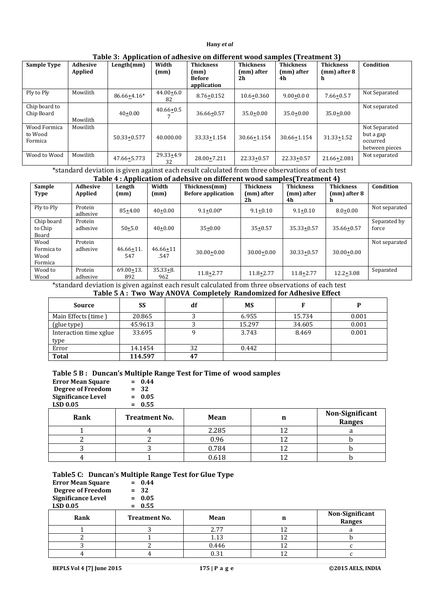| <b>Sample Type</b>                 | <b>Adhesive</b> | Length(mm)        | Width               | Table 5: Application of adhesive on uniefeld wood samples (Treatment 3)<br><b>Thickness</b> | <b>Thickness</b> | <b>Thickness</b> | <b>Thickness</b>  | Condition                                                |
|------------------------------------|-----------------|-------------------|---------------------|---------------------------------------------------------------------------------------------|------------------|------------------|-------------------|----------------------------------------------------------|
|                                    | Applied         |                   | (mm)                | (mm)<br><b>Before</b><br>application                                                        | (mm) after<br>2h | (mm) after<br>4h | (mm) after 8<br>n |                                                          |
| Ply to Ply                         | Mowilith        | 86.66+4.16*       | $44.00 + 6.0$<br>82 | 8.76+0.152                                                                                  | $10.6 + 0.360$   | $9.00 + 0.00$    | $7.66 + 0.57$     | Not Separated                                            |
| Chip board to<br>Chip Board        | Mowilith        | $40+0.00$         | $40.66 + 0.5$       | 36.66+0.57                                                                                  | $35.0 + 0.00$    | $35.0 + 0.00$    | $35.0 + 0.00$     | Not separated                                            |
| Wood Formica<br>to Wood<br>Formica | Mowilith        | $50.33 \pm 0.577$ | 40.000.00           | $33.33 \pm 1.154$                                                                           | 30.66+1.154      | 30.66+1.154      | $31.33 + 1.52$    | Not Separated<br>but a gap<br>occurred<br>between pieces |
| Wood to Wood                       | Mowilith        | $47.66 \pm 5.773$ | $29.33 + 4.9$<br>32 | 28.00+7.211                                                                                 | $22.33+0.57$     | $22.33 + 0.57$   | 21.66+2.081       | Not separated                                            |

**Table 3: Application of adhesive on different wood samples (Treatment 3)**

\*standard deviation is given against each result calculated from three observations of each test

### **Table 4 : Application of adehsive on different wood samples(Treatment 4)**

| Sample<br><b>Type</b>                 | Adhesive<br>Applied | rubre 1 rippheation of auchor<br>Length<br>(mm) | Width<br>(mm)        | Thickness(mm)<br><b>Before application</b> | <b>Thickness</b><br>(mm) after<br>2h | <b>Thickness</b><br>(mm) after<br>4h | <b>Thickness</b><br>(mm) after 8 | Condition             |
|---------------------------------------|---------------------|-------------------------------------------------|----------------------|--------------------------------------------|--------------------------------------|--------------------------------------|----------------------------------|-----------------------|
| Ply to Ply                            | Protein<br>adhesive | $85+4.00$                                       | $40+0.00$            | $9.1 + 0.00*$                              | $9.1 + 0.10$                         | $9.1 + 0.10$                         | $8.0 + 0.00$                     | Not separated         |
| Chip board<br>to Chip<br>Board        | Protein<br>adhesive | $50+5.0$                                        | $40+0.00$            | $35+0.00$                                  | $35 + 0.57$                          | $35.33 + 0.57$                       | $35.66 + 0.57$                   | Separated by<br>force |
| Wood<br>Formica to<br>Wood<br>Formica | Protein<br>adhesive | $46.66 + 11.$<br>547                            | $46.66 + 11$<br>.547 | $30.00 + 0.00$                             | $30.00 + 0.00$                       | $30.33 + 0.57$                       | $30.00 + 0.00$                   | Not separated         |
| Wood to<br>Wood                       | Protein<br>adhesive | $69.00 + 13.$<br>892                            | $35.33 + 8.$<br>962  | 11.8+2.77                                  | $11.8 + 2.77$                        | $11.8 + 2.77$                        | $12.2 + 3.08$                    | Separated             |

\*standard deviation is given against each result calculated from three observations of each test

# **Table 5 A : Two Way ANOVA Completely Randomized for Adhesive Effect**

| Source                 | SS      | df | <b>MS</b> |        |       |
|------------------------|---------|----|-----------|--------|-------|
| Main Effects (time)    | 20.865  |    | 6.955     | 15.734 | 0.001 |
| (glue type)            | 45.9613 |    | 15.297    | 34.605 | 0.001 |
| Interaction time xglue | 33.695  |    | 3.743     | 8.469  | 0.001 |
| type                   |         |    |           |        |       |
| Error                  | 14.1454 | 32 | 0.442     |        |       |
| Total                  | 114.597 | 47 |           |        |       |

#### **Table 5 B : Duncan's Multiple Range Test for Time of wood samples**

| <b>Error Mean Square</b><br><b>Degree of Freedom</b><br><b>Significance Level</b><br>LSD 0.05 | $= 0.44$<br>$= 32$<br>$= 0.05$<br>$= 0.55$ |       |    |                                  |
|-----------------------------------------------------------------------------------------------|--------------------------------------------|-------|----|----------------------------------|
| Rank                                                                                          | <b>Treatment No.</b>                       | Mean  | n  | Non-Significant<br><b>Ranges</b> |
|                                                                                               |                                            | 2.285 | 12 | a                                |
|                                                                                               |                                            | 0.96  | 12 |                                  |
|                                                                                               |                                            | 0.784 | 12 |                                  |
|                                                                                               |                                            | 0.618 | 12 |                                  |

# **Table5 C: Duncan's Multiple Range Test for Glue Type**

| <b>Error Mean Square</b><br><b>Degree of Freedom</b><br><b>Significance Level</b><br><b>LSD 0.05</b> | $= 0.44$<br>$= 32$<br>$= 0.05$<br>$= 0.55$ |       |    |                           |
|------------------------------------------------------------------------------------------------------|--------------------------------------------|-------|----|---------------------------|
| Rank                                                                                                 | <b>Treatment No.</b>                       | Mean  | n  | Non-Significant<br>Ranges |
|                                                                                                      |                                            | 2.77  | 12 |                           |
|                                                                                                      |                                            | 1.13  | 12 |                           |
|                                                                                                      |                                            | 0.446 | 12 |                           |
|                                                                                                      |                                            | 0.31  | 12 |                           |

**BEPLS Vol 4 [7] June 2015 175 | P a g e ©2015 AELS, INDIA**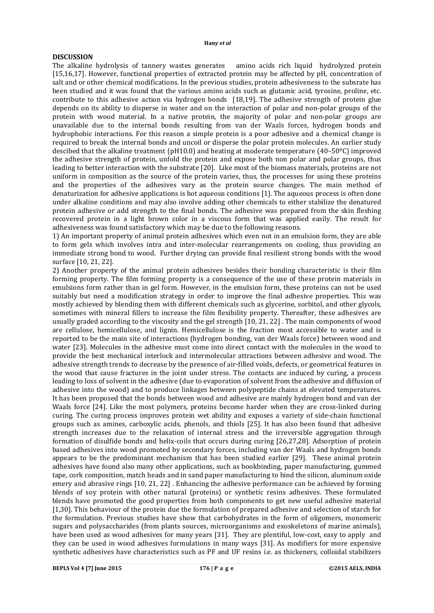# **DISCUSSION**

The alkaline hydrolysis of tannery wastes generates amino acids rich liquid hydrolyzed protein [15,16,17]. However, functional properties of extracted protein may be affected by pH, concentration of salt and or other chemical modifications. In the previous studies, protein adhesiveness to the subsrate has been studied and it was found that the various amino acids such as glutamic acid, tyrosine, proline, etc. contribute to this adhesive action via hydrogen bonds [18,19]. The adhesive strength of protein glue depends on its ability to disperse in water and on the interaction of polar and non-polar groups of the protein with wood material. In a native protein, the majority of polar and non-polar groups are unavailable due to the internal bonds resulting from van der Waals forces, hydrogen bonds and hydrophobic interactions. For this reason a simple protein is a poor adhesive and a chemical change is required to break the internal bonds and uncoil or disperse the polar protein molecules. An earlier study descibed that the alkaline treatment (pH10.0) and heating at moderate temperature (40–50 $\degree$ C) improved the adhesive strength of protein, unfold the protein and expose both non polar and polar groups, thus leading to better interaction with the substrate [20]. Like most of the biomass materials, proteins are not uniform in composition as the source of the protein varies, thus, the processes for using these proteins and the properties of the adhesives vary as the protein source changes. The main method of denaturization for adhesive applications is hot aqueous conditions [1]. The aqueous process is often done under alkaline conditions and may also involve adding other chemicals to either stabilize the denatured protein adhesive or add strength to the final bonds. The adhesive was prepared from the skin fleshing recovered protein in a light brown color in a viscous form that was applied easily. The result for adhesiveness was found satisfactory which may be due to the following reasons.

1) An important property of animal protein adhesives which even not in an emulsion form, they are able to form gels which involves intra and inter-molecular rearrangements on cooling, thus providing an immediate strong bond to wood. Further drying can provide final resilient strong bonds with the wood surface [10, 21, 22].

2) Another property of the animal protein adhesives besides their bonding characteristic is their film forming property. The film forming property is a consequence of the use of these protein materials in emulsions form rather than in gel form. However, in the emulsion form, these proteins can not be used suitably but need a modification strategy in order to improve the final adhesive properties. This was mostly achieved by blending them with different chemicals such as glycerine, sorbitol, and other glycols, sometimes with mineral fillers to increase the film flexibility property. Thereafter, these adhesives are usually graded according to the viscosity and the gel strength [10, 21, 22] . The main components of wood are cellulose, hemicellulose, and lignin. Hemicellulose is the fraction most accessible to water and is reported to be the main site of interactions (hydrogen bonding, van der Waals force) between wood and water [23]. Molecules in the adhesive must come into direct contact with the molecules in the wood to provide the best mechanical interlock and intermolecular attractions between adhesive and wood. The adhesive strength trends to decrease by the presence of air-filled voids, defects, or geometrical features in the wood that cause fractures in the joint under stress. The contacts are induced by curing, a process leading to loss of solvent in the adhesive (due to evaporation of solvent from the adhesive and diffusion of adhesive into the wood) and to produce linkages between polypeptide chains at elevated temperatures. It has been proposed that the bonds between wood and adhesive are mainly hydrogen bond and van der Waals force [24]. Like the most polymers, proteins become harder when they are cross-linked during curing. The curing process improves protein wet ability and exposes a variety of side-chain functional groups such as amines, carboxylic acids, phenols, and thiols [25]. It has also been found that adhesive strength increases due to the relaxation of internal stress and the irreversible aggregation through formation of disulfide bonds and helix-coils that occurs during curing [26,27,28]. Adsorption of protein based adhesives into wood promoted by secondary forces, including van der Waals and hydrogen bonds appears to be the predominant mechanism that has been studied earlier [29]. These animal protein adhesives have found also many other applications, such as bookbinding, paper manufacturing, gummed tape, cork composition, match heads and in sand paper manufacturing to bind the silicon, aluminum oxide emery and abrasive rings [10, 21, 22] . Enhancing the adhesive performance can be achieved by forming blends of soy protein with other natural (proteins) or synthetic resins adhesives. These formulated blends have promoted the good properties from both components to get new useful adhesive material [1,30]. This behaviour of the protein due the formulation of prepared adhesive and selection of starch for the formulation. Previous studies have show that carbohydrates in the form of oligomers, monomeric sugars and polysaccharides (from plants sources, microorganisms and exoskeletons of marine animals), have been used as wood adhesives for many years [31]. They are plentiful, low-cost, easy to apply and they can be used in wood adhesives formulations in many ways [31]. As modifiers for more expensive synthetic adhesives have characteristics such as PF and UF resins i.e. as thickeners, colloidal stabilizers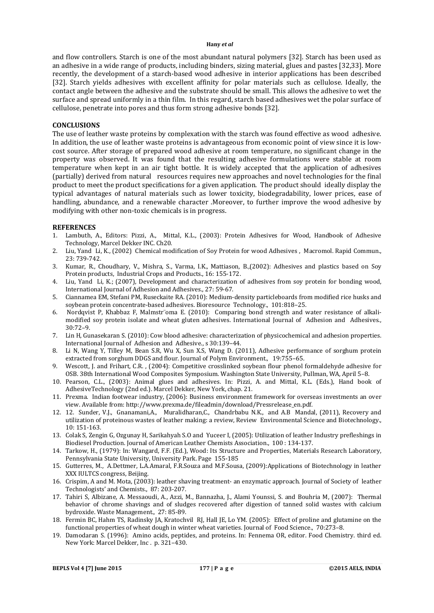and flow controllers. Starch is one of the most abundant natural polymers [32]. Starch has been used as an adhesive in a wide range of products, including binders, sizing material, glues and pastes [32,33]. More recently, the development of a starch-based wood adhesive in interior applications has been described [32]. Starch yields adhesives with excellent affinity for polar materials such as cellulose. Ideally, the contact angle between the adhesive and the substrate should be small. This allows the adhesive to wet the surface and spread uniformly in a thin film. In this regard, starch based adhesives wet the polar surface of cellulose, penetrate into pores and thus form strong adhesive bonds [32].

### **CONCLUSIONS**

The use of leather waste proteins by complexation with the starch was found effective as wood adhesive. In addition, the use of leather waste proteins is advantageous from economic point of view since it is lowcost source. After storage of prepared wood adhesive at room temperature, no significant change in the property was observed. It was found that the resulting adhesive formulations were stable at room temperature when kept in an air tight bottle. It is widely accepted that the application of adhesives (partially) derived from natural resources requires new approaches and novel technologies for the final product to meet the product specifications for a given application. The product should ideally display the typical advantages of natural materials such as lower toxicity, biodegradability, lower prices, ease of handling, abundance, and a renewable character .Moreover, to further improve the wood adhesive by modifying with other non-toxic chemicals is in progress.

### **REFERENCES**

- 1. Lambuth, A., Editors: Pizzi, A., Mittal, K.L., (2003): Protein Adhesives for Wood, Handbook of Adhesive Technology, Marcel Dekker INC. Ch20.
- 2. Liu, Yand Li, K., (2002) Chemical modification of Soy Protein for wood Adhesives , Macromol. Rapid Commun., 23: 739-742.
- 3. Kumar, R., Choudhary, V., Mishra, S., Varma, I.K., Mattiason, B.,(2002): Adhesives and plastics based on Soy Protein products, Industrial Crops and Products., 16: 155-172.
- 4. Liu, Yand Li, K.; (2007), Development and characterization of adhesives from soy protein for bonding wood, International Journal of Adhesion and Adhesives., 27: 59-67.
- 5. Ciannamea EM, Stefani PM, Ruseckaite RA. (2010): Medium-density particleboards from modified rice husks and soybean protein concentrate-based adhesives. Bioresource Technology., 101:818–25.
- 6. Nordqvist P, Khabbaz F, Malmstr¨oma E. (2010): Comparing bond strength and water resistance of alkalimodified soy protein isolate and wheat gluten adhesives. International Journal of Adhesion and Adhesives., 30:72–9.
- 7. Lin H, Gunasekaran S. (2010): Cow blood adhesive: characterization of physicochemical and adhesion properties. International Journal of Adhesion and Adhesive., s 30:139–44.
- 8. Li N, Wang Y, Tilley M, Bean S.R, Wu X, Sun X.S, Wang D. (2011), Adhesive performance of sorghum protein extracted from sorghum DDGS and flour. Journal of Polym Environment., 19:755-65.
- 9. Wescott, J. and Frihart, C.R. , (2004): Competitive crosslinked soybean flour phenol formaldehyde adhesive for OSB. 38th International Wood Composites Symposium. Washington State University, Pullman, WA, April 5–8.
- 10. Pearson, C.L., (2003): Animal glues and adhesives. In: Pizzi, A. and Mittal, K.L. (Eds.), Hand book of AdhesiveTechnology (2nd ed.). Marcel Dekker, New York, chap. 21.
- 11. Prexma. Indian footwear industry, (2006): Business environment framework for overseas investments an over view. Available from: http://www.prexma.de/fileadmin/download/Pressrelease\_en.pdf.
- 12. 12. Sunder, V.J., Gnanamani,A., Muralidharan,C., Chandrbabu N.K., and A.B Mandal, (2011), Recovery and utilization of proteinous wastes of leather making: a review, Review Environmental Science and Biotechnology., 10: 151-163.
- 13. Colak S, Zengin G, Ozgunay H, Sarikahyah S.O and Yuceer I, (2005): Utilization of leather Industry prefleshings in Biodiesel Production. Journal of American Leather Chemists Association., 100 : 134-137.
- 14. Tarkow, H., (1979): In: Wangard, F.F. (Ed.), Wood: Its Structure and Properties, Materials Research Laboratory, Pennsylvania State University, University Park. Page 155-185
- 15. Gutterres, M., A.Dettmer, L.A.Amaral, F.R.Souza and M.F.Sousa, (2009):Applications of Biotechnology in leather XXX IULTCS congress, Beijing.
- 16. Crispim, A and M. Mota, (2003): leather shaving treatment- an enzymatic approach. Journal of Society of leather Technologists' and Chemists., 87: 203-207.
- 17. Tahiri S, Albizane, A. Messaoudi, A., Azzi, M., Bannazha, J., Alami Younssi, S. and Bouhria M, (2007): Thermal behavior of chrome shavings and of sludges recovered after digestion of tanned solid wastes with calcium bydroxide. Waste Management., 27: 85-89.
- 18. Fermin BC, Hahm TS, Radinsky JA, Kratochvil RJ, Hall JE, Lo YM. (2005): Effect of proline and glutamine on the functional properties of wheat dough in winter wheat varieties. Journal of Food Science., 70:273–8.
- 19. Damodaran S. (1996): Amino acids, peptides, and proteins. In: Fennema OR, editor. Food Chemistry. third ed. New York: Marcel Dekker, Inc . p. 321–430.